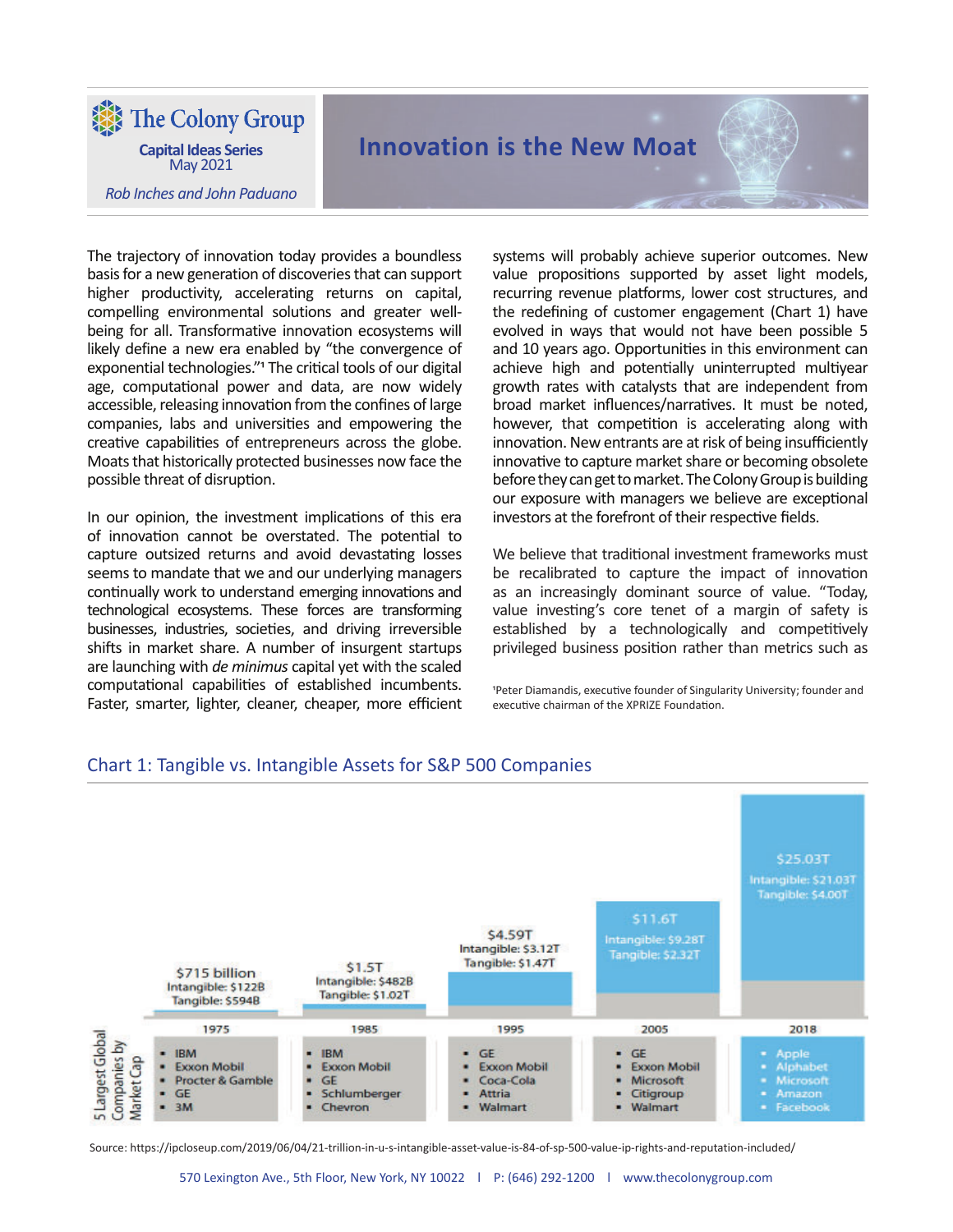The Colony Group

**Capital Ideas Series** May 2021

*Rob Inches and John Paduano*

# **Innovation is the New Moat**

The trajectory of innovation today provides a boundless basis for a new generation of discoveries that can support higher productivity, accelerating returns on capital, compelling environmental solutions and greater wellbeing for all. Transformative innovation ecosystems will likely define a new era enabled by "the convergence of exponential technologies."<sup>1</sup> The critical tools of our digital age, computational power and data, are now widely accessible, releasing innovation from the confines of large companies, labs and universities and empowering the creative capabilities of entrepreneurs across the globe. Moats that historically protected businesses now face the possible threat of disruption.

In our opinion, the investment implications of this era of innovation cannot be overstated. The potential to capture outsized returns and avoid devastating losses seems to mandate that we and our underlying managers continually work to understand emerging innovations and technological ecosystems. These forces are transforming businesses, industries, societies, and driving irreversible shifts in market share. A number of insurgent startups are launching with *de minimus* capital yet with the scaled computational capabilities of established incumbents. Faster, smarter, lighter, cleaner, cheaper, more efficient systems will probably achieve superior outcomes. New value propositions supported by asset light models, recurring revenue platforms, lower cost structures, and the redefining of customer engagement (Chart 1) have evolved in ways that would not have been possible 5 and 10 years ago. Opportunities in this environment can achieve high and potentially uninterrupted multiyear growth rates with catalysts that are independent from broad market influences/narratives. It must be noted, however, that competition is accelerating along with innovation. New entrants are at risk of being insufficiently innovative to capture market share or becoming obsolete before they can get to market. The Colony Group is building our exposure with managers we believe are exceptional investors at the forefront of their respective fields.

We believe that traditional investment frameworks must be recalibrated to capture the impact of innovation as an increasingly dominant source of value. "Today, value investing's core tenet of a margin of safety is established by a technologically and competitively privileged business position rather than metrics such as

Peter Diamandis, executive founder of Singularity University; founder and executive chairman of the XPRIZE Foundation.



## Chart 1: Tangible vs. Intangible Assets for S&P 500 Companies

Source: https://ipcloseup.com/2019/06/04/21-trillion-in-u-s-intangible-asset-value-is-84-of-sp-500-value-ip-rights-and-reputation-included/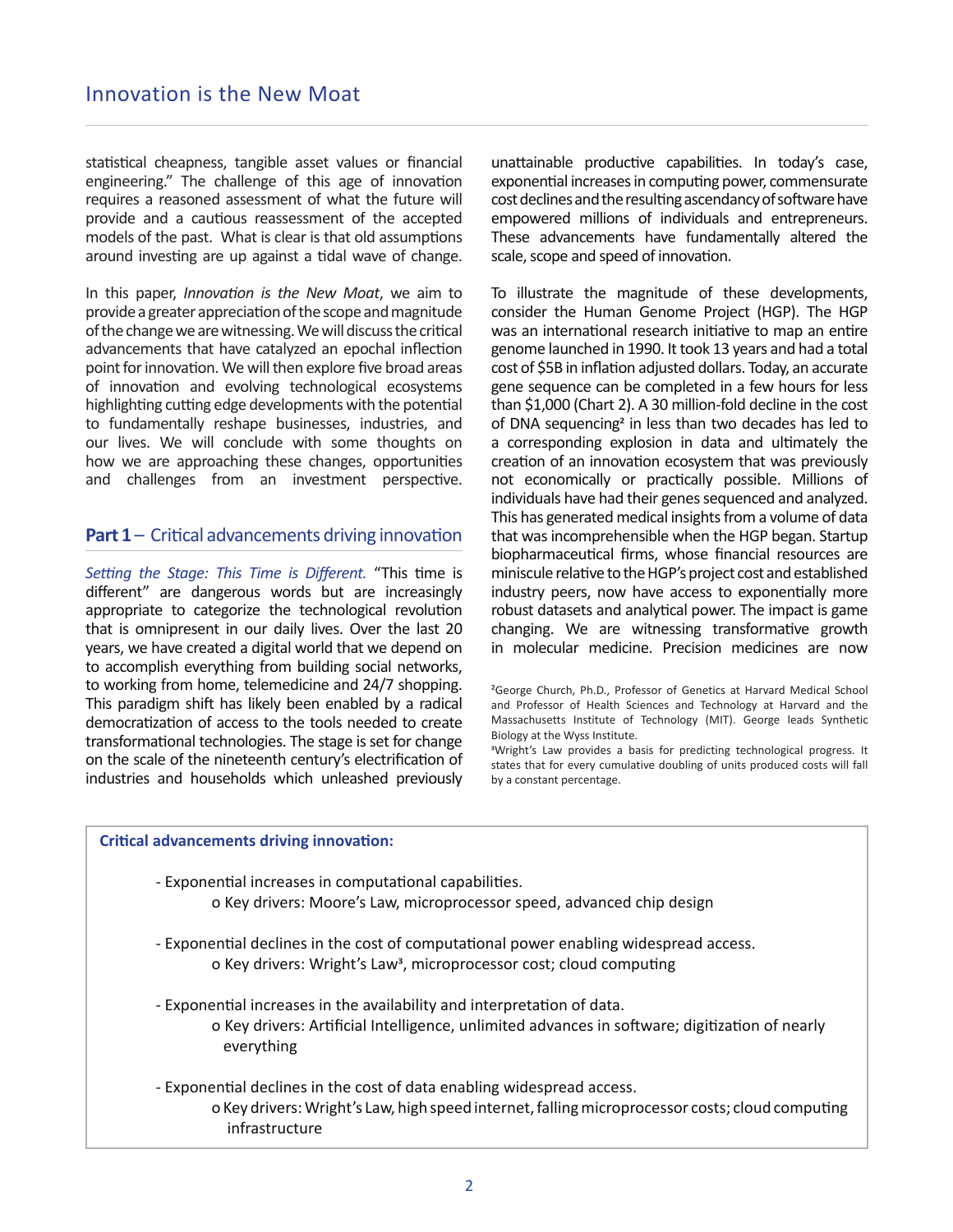statistical cheapness, tangible asset values or financial engineering." The challenge of this age of innovation requires a reasoned assessment of what the future will provide and a cautious reassessment of the accepted models of the past. What is clear is that old assumptions around investing are up against a tidal wave of change.

In this paper, *Innovation is the New Moat*, we aim to provide a greater appreciation of the scope and magnitude of the change we are witnessing. We will discuss the critical advancements that have catalyzed an epochal inflection point for innovation. We will then explore five broad areas of innovation and evolving technological ecosystems highlighting cutting edge developments with the potential to fundamentally reshape businesses, industries, and our lives. We will conclude with some thoughts on how we are approaching these changes, opportunities and challenges from an investment perspective.

## **Part 1** – Critical advancements driving innovation

*Setting the Stage: This Time is Different.* "This time is different" are dangerous words but are increasingly appropriate to categorize the technological revolution that is omnipresent in our daily lives. Over the last 20 years, we have created a digital world that we depend on to accomplish everything from building social networks, to working from home, telemedicine and 24/7 shopping. This paradigm shift has likely been enabled by a radical democratization of access to the tools needed to create transformational technologies. The stage is set for change on the scale of the nineteenth century's electrification of industries and households which unleashed previously

unattainable productive capabilities. In today's case, exponential increases in computing power, commensurate cost declines and the resulting ascendancy of software have empowered millions of individuals and entrepreneurs. These advancements have fundamentally altered the scale, scope and speed of innovation.

To illustrate the magnitude of these developments, consider the Human Genome Project (HGP). The HGP was an international research initiative to map an entire genome launched in 1990. It took 13 years and had a total cost of \$5B in inflation adjusted dollars. Today, an accurate gene sequence can be completed in a few hours for less than \$1,000 (Chart 2). A 30 million-fold decline in the cost of DNA sequencing<sup>2</sup> in less than two decades has led to a corresponding explosion in data and ultimately the creation of an innovation ecosystem that was previously not economically or practically possible. Millions of individuals have had their genes sequenced and analyzed. This has generated medical insights from a volume of data that was incomprehensible when the HGP began. Startup biopharmaceutical firms, whose financial resources are miniscule relative to the HGP's project cost and established industry peers, now have access to exponentially more robust datasets and analytical power. The impact is game changing. We are witnessing transformative growth in molecular medicine. Precision medicines are now

<sup>3</sup>Wright's Law provides a basis for predicting technological progress. It states that for every cumulative doubling of units produced costs will fall by a constant percentage.

| <b>Critical advancements driving innovation:</b>                                                                                                                                            |
|---------------------------------------------------------------------------------------------------------------------------------------------------------------------------------------------|
| - Exponential increases in computational capabilities.                                                                                                                                      |
| o Key drivers: Moore's Law, microprocessor speed, advanced chip design                                                                                                                      |
| - Exponential declines in the cost of computational power enabling widespread access.<br>o Key drivers: Wright's Law <sup>3</sup> , microprocessor cost; cloud computing                    |
| - Exponential increases in the availability and interpretation of data.<br>o Key drivers: Artificial Intelligence, unlimited advances in software; digitization of nearly<br>everything     |
| - Exponential declines in the cost of data enabling widespread access.<br>o Key drivers: Wright's Law, high speed internet, falling microprocessor costs; cloud computing<br>infrastructure |

²George Church, Ph.D., Professor of Genetics at Harvard Medical School and Professor of Health Sciences and Technology at Harvard and the Massachusetts Institute of Technology (MIT). George leads Synthetic Biology at the Wyss Institute.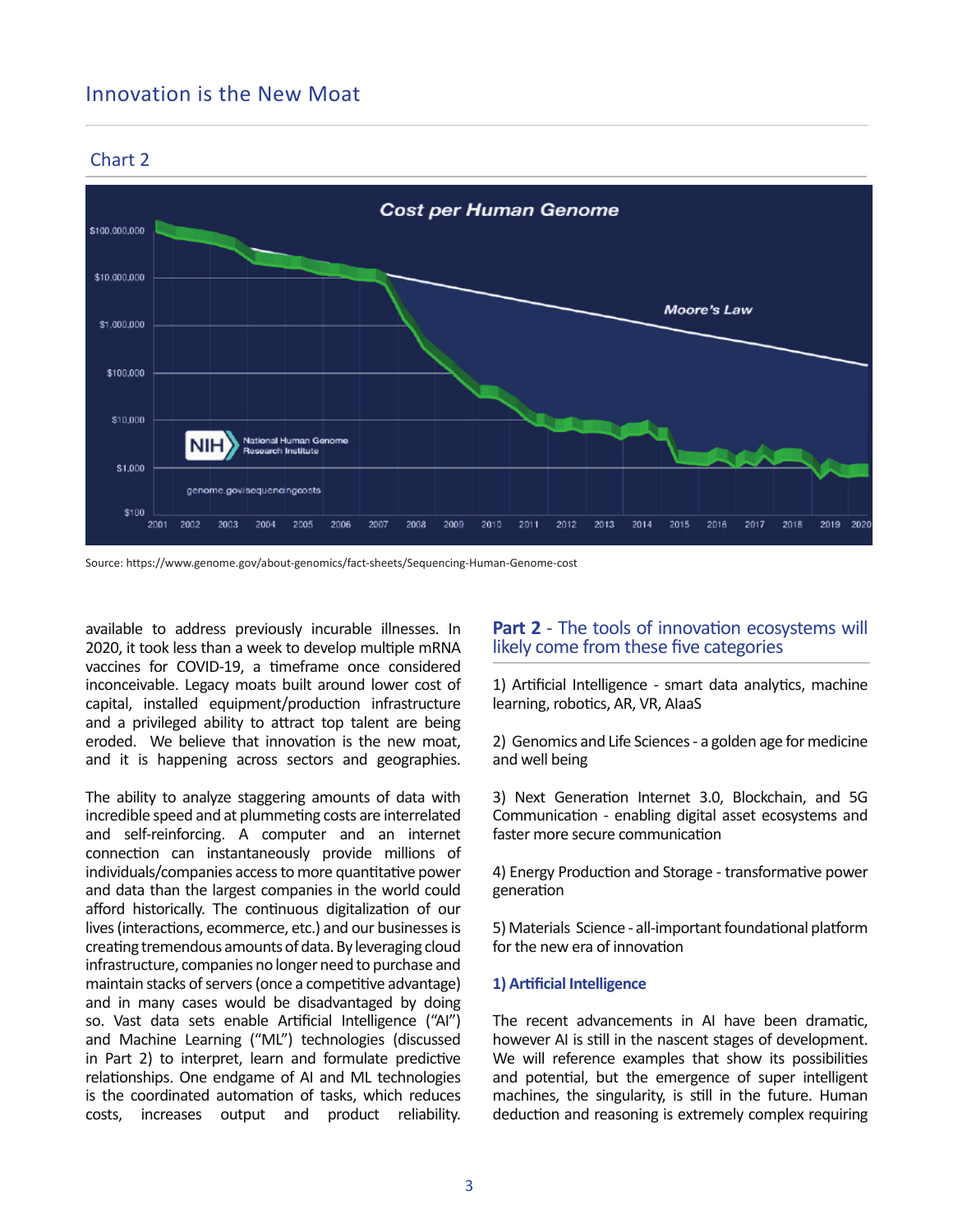# Innovation is the New Moat



## Chart 2

Source: https://www.genome.gov/about-genomics/fact-sheets/Sequencing-Human-Genome-cost

available to address previously incurable illnesses. In 2020, it took less than a week to develop multiple mRNA vaccines for COVID-19, a timeframe once considered inconceivable. Legacy moats built around lower cost of capital, installed equipment/production infrastructure and a privileged ability to attract top talent are being eroded. We believe that innovation is the new moat, and it is happening across sectors and geographies.

The ability to analyze staggering amounts of data with incredible speed and at plummeting costs are interrelated and self-reinforcing. A computer and an internet connection can instantaneously provide millions of individuals/companies access to more quantitative power and data than the largest companies in the world could afford historically. The continuous digitalization of our lives (interactions, ecommerce, etc.) and our businesses is creating tremendous amounts of data. By leveraging cloud infrastructure, companies no longer need to purchase and maintain stacks of servers (once a competitive advantage) and in many cases would be disadvantaged by doing so. Vast data sets enable Artificial Intelligence ("AI") and Machine Learning ("ML") technologies (discussed in Part 2) to interpret, learn and formulate predictive relationships. One endgame of AI and ML technologies is the coordinated automation of tasks, which reduces costs, increases output and product reliability.

## **Part 2** - The tools of innovation ecosystems will likely come from these five categories

1) Artificial Intelligence - smart data analytics, machine learning, robotics, AR, VR, AlaaS

2) Genomics and Life Sciences - a golden age for medicine and well being

3) Next Generation Internet 3.0, Blockchain, and 5G Communication - enabling digital asset ecosystems and faster more secure communication

4) Energy Production and Storage - transformative power generation

5) Materials Science - all-important foundational platform for the new era of innovation

#### **1) Artificial Intelligence**

The recent advancements in AI have been dramatic. however AI is still in the nascent stages of development. We will reference examples that show its possibilities and potential, but the emergence of super intelligent machines, the singularity, is still in the future. Human deduction and reasoning is extremely complex requiring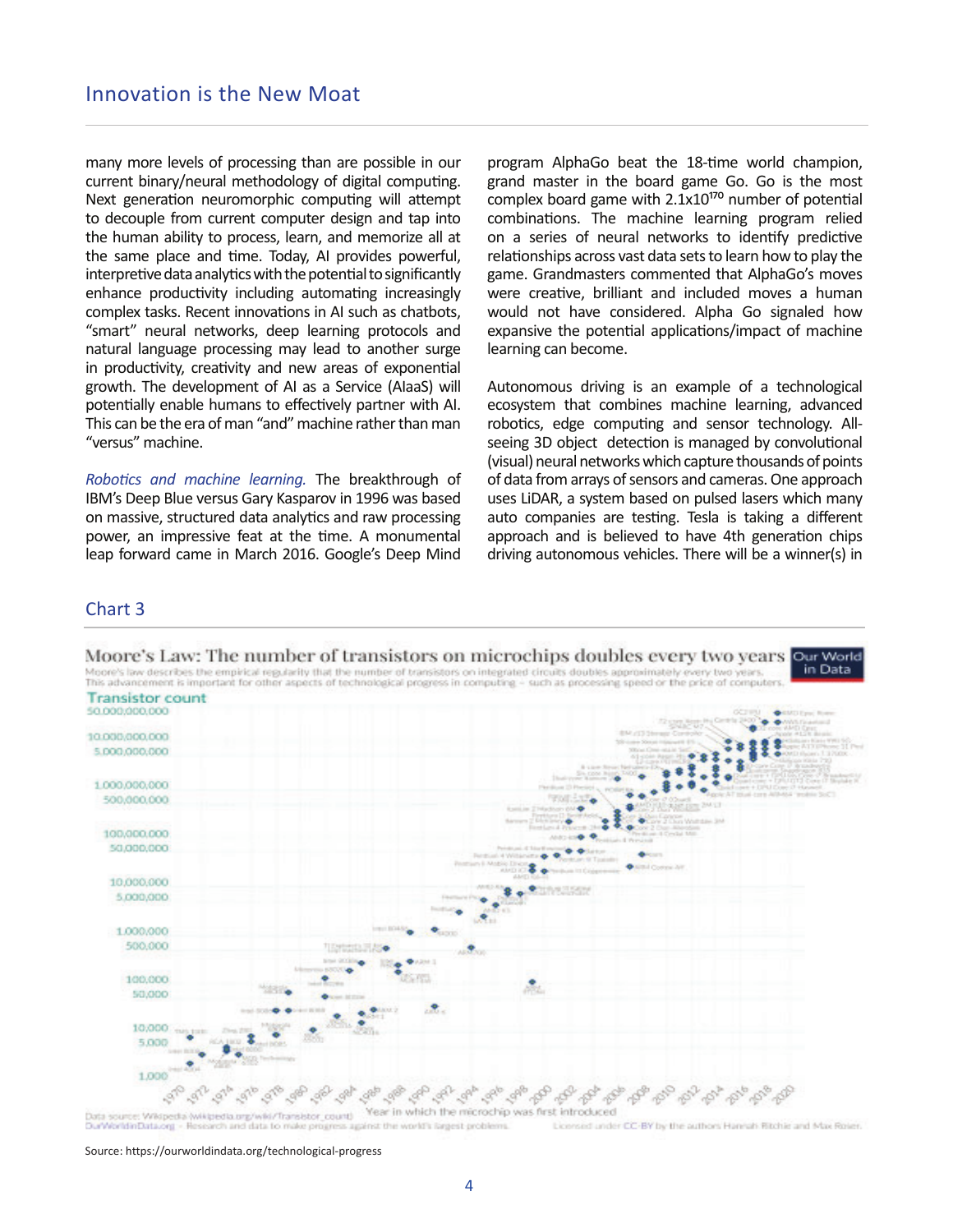many more levels of processing than are possible in our current binary/neural methodology of digital computing. Next generation neuromorphic computing will attempt to decouple from current computer design and tap into the human ability to process, learn, and memorize all at the same place and time. Today, AI provides powerful, interpretive data analytics with the potential to significantly enhance productivity including automating increasingly complex tasks. Recent innovations in AI such as chatbots, "smart" neural networks, deep learning protocols and natural language processing may lead to another surge in productivity, creativity and new areas of exponential growth. The development of AI as a Service (AIaaS) will potentially enable humans to effectively partner with AI. This can be the era of man "and" machine rather than man "versus" machine.

*RoboƟ cs and machine learning.* The breakthrough of IBM's Deep Blue versus Gary Kasparov in 1996 was based on massive, structured data analytics and raw processing power, an impressive feat at the time. A monumental leap forward came in March 2016. Google's Deep Mind program AlphaGo beat the 18-time world champion, grand master in the board game Go. Go is the most complex board game with  $2.1x10^{170}$  number of potential combinations. The machine learning program relied on a series of neural networks to identify predictive relationships across vast data sets to learn how to play the game. Grandmasters commented that AlphaGo's moves were creative, brilliant and included moves a human would not have considered. Alpha Go signaled how expansive the potential applications/impact of machine learning can become.

Autonomous driving is an example of a technological ecosystem that combines machine learning, advanced robotics, edge computing and sensor technology. Allseeing 3D object detection is managed by convolutional (visual) neural networks which capture thousands of points of data from arrays of sensors and cameras. One approach uses LiDAR, a system based on pulsed lasers which many auto companies are testing. Tesla is taking a different approach and is believed to have 4th generation chips driving autonomous vehicles. There will be a winner(s) in

#### Chart 3



Licensed under CC-BY by the authors Hannah Ritchie and Max Roier. OurWorldinData.org against the world's largest problems

Source: https://ourworldindata.org/technological-progress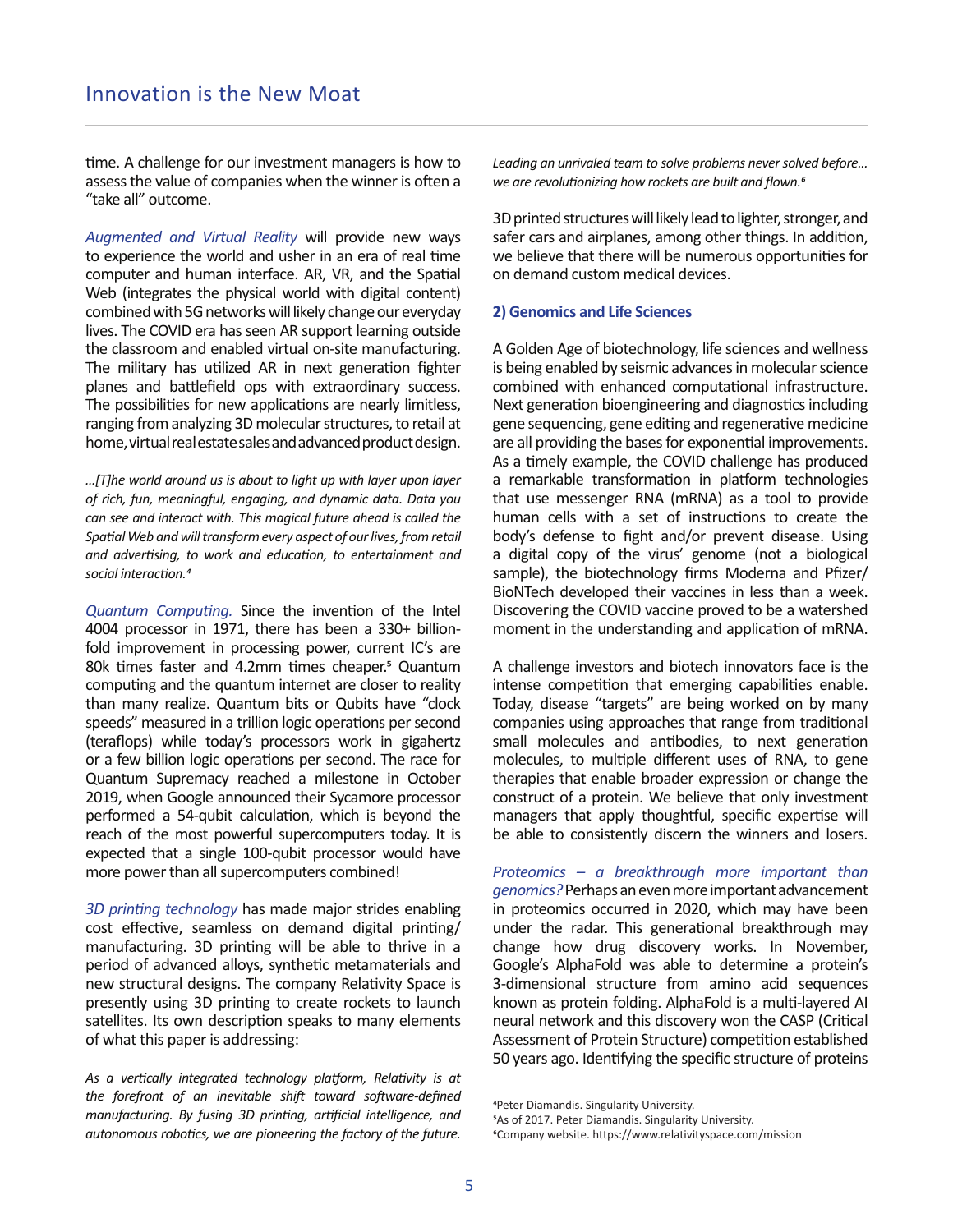time. A challenge for our investment managers is how to assess the value of companies when the winner is often a "take all" outcome.

*Augmented and Virtual Reality* will provide new ways to experience the world and usher in an era of real time computer and human interface. AR, VR, and the Spatial Web (integrates the physical world with digital content) combined with 5G networks will likely change our everyday lives. The COVID era has seen AR support learning outside the classroom and enabled virtual on-site manufacturing. The military has utilized AR in next generation fighter planes and battlefield ops with extraordinary success. The possibilities for new applications are nearly limitless, ranging from analyzing 3D molecular structures, to retail at home, virtual real estate sales and advanced product design.

*…[T]he world around us is about to light up with layer upon layer of rich, fun, meaningful, engaging, and dynamic data. Data you can see and interact with. This magical future ahead is called the*  Spatial Web and will transform every aspect of our lives, from retail *and adverƟ sing, to work and educaƟ on, to entertainment and*   $social$  *interaction.<sup>4</sup>* 

*Quantum Computing.* Since the invention of the Intel 4004 processor in 1971, there has been a 330+ billionfold improvement in processing power, current IC's are 80k times faster and 4.2mm times cheaper.<sup>5</sup> Quantum computing and the quantum internet are closer to reality than many realize. Quantum bits or Qubits have "clock speeds" measured in a trillion logic operations per second (teraflops) while today's processors work in gigahertz or a few billion logic operations per second. The race for Quantum Supremacy reached a milestone in October 2019, when Google announced their Sycamore processor performed a 54-qubit calculation, which is beyond the reach of the most powerful supercomputers today. It is expected that a single 100-qubit processor would have more power than all supercomputers combined!

3D printing *technology* has made major strides enabling cost effective, seamless on demand digital printing/ manufacturing. 3D printing will be able to thrive in a period of advanced alloys, synthetic metamaterials and new structural designs. The company Relativity Space is presently using 3D printing to create rockets to launch satellites. Its own description speaks to many elements of what this paper is addressing:

*As a verƟ cally integrated technology plaƞ orm, RelaƟ vity is at the forefront of an inevitable shift toward software-defined manufacturing. By fusing 3D printing, artificial intelligence, and* autonomous robotics, we are pioneering the factory of the future. *Leading an unrivaled team to solve problems never solved before… we are revolutionizing how rockets are built and flown.<sup><i>6*</sup>

3D printed structures will likely lead to lighter, stronger, and safer cars and airplanes, among other things. In addition, we believe that there will be numerous opportunities for on demand custom medical devices.

#### **2) Genomics and Life Sciences**

A Golden Age of biotechnology, life sciences and wellness is being enabled by seismic advances in molecular science combined with enhanced computational infrastructure. Next generation bioengineering and diagnostics including gene sequencing, gene editing and regenerative medicine are all providing the bases for exponential improvements. As a timely example, the COVID challenge has produced a remarkable transformation in platform technologies that use messenger RNA (mRNA) as a tool to provide human cells with a set of instructions to create the body's defense to fight and/or prevent disease. Using a digital copy of the virus' genome (not a biological sample), the biotechnology firms Moderna and Pfizer/ BioNTech developed their vaccines in less than a week. Discovering the COVID vaccine proved to be a watershed moment in the understanding and application of mRNA.

A challenge investors and biotech innovators face is the intense competition that emerging capabilities enable. Today, disease "targets" are being worked on by many companies using approaches that range from traditional small molecules and antibodies, to next generation molecules, to multiple different uses of RNA, to gene therapies that enable broader expression or change the construct of a protein. We believe that only investment managers that apply thoughtful, specific expertise will be able to consistently discern the winners and losers.

*Proteomics – a breakthrough more important than genomics?* Perhaps an even more important advancement in proteomics occurred in 2020, which may have been under the radar. This generational breakthrough may change how drug discovery works. In November, Google's AlphaFold was able to determine a protein's 3-dimensional structure from amino acid sequences known as protein folding. AlphaFold is a multi-layered AI neural network and this discovery won the CASP (Critical Assessment of Protein Structure) competition established 50 years ago. Identifying the specific structure of proteins

<sup>&</sup>lt;sup>4</sup>Peter Diamandis. Singularity University. **5As of 2017. Peter Diamandis. Singularity University.** ФCompany website. https://www.relativityspace.com/mission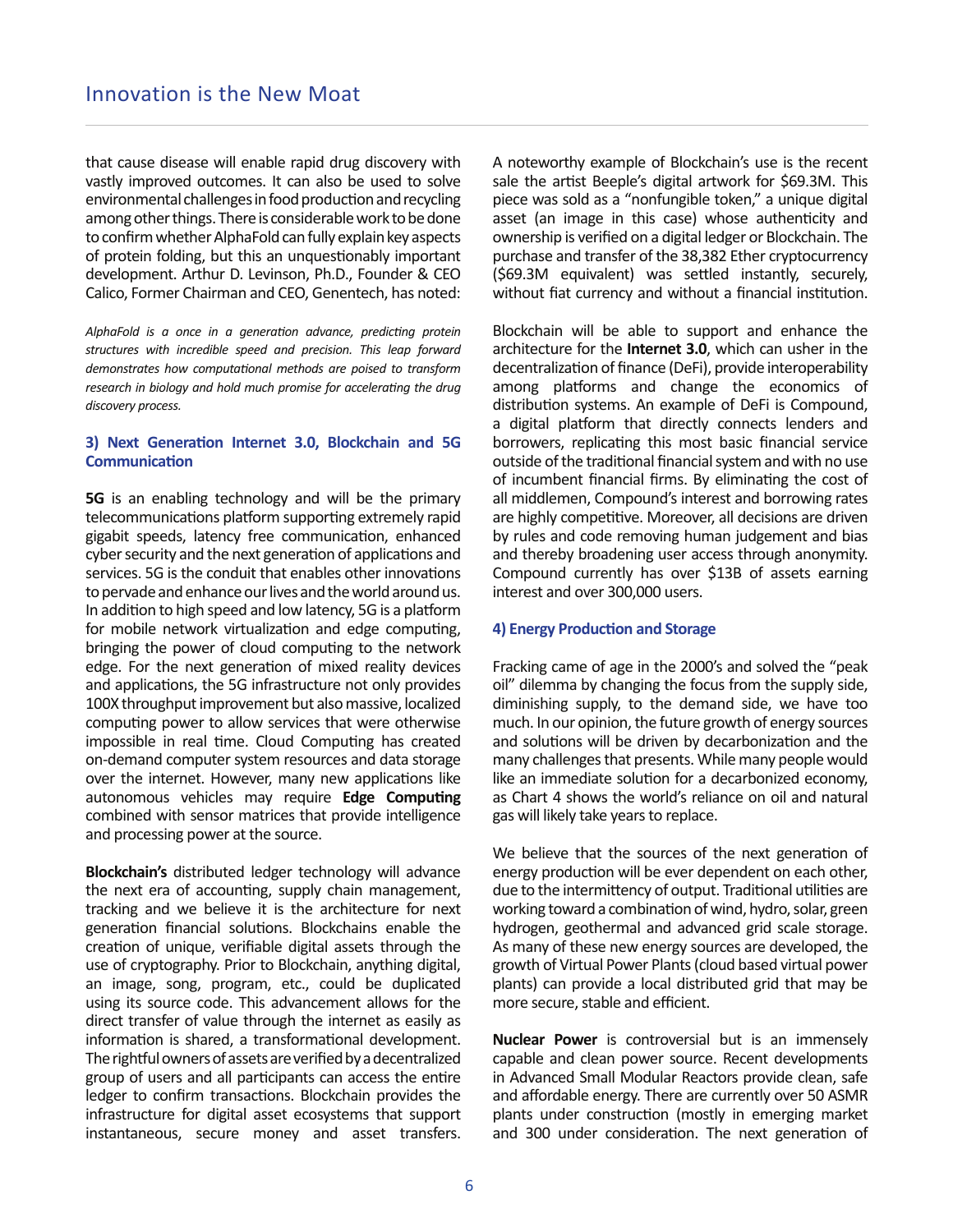that cause disease will enable rapid drug discovery with vastly improved outcomes. It can also be used to solve environmental challenges in food production and recycling among other things. There is considerable work to be done to confirm whether AlphaFold can fully explain key aspects of protein folding, but this an unquestionably important development. Arthur D. Levinson, Ph.D., Founder & CEO Calico, Former Chairman and CEO, Genentech, has noted:

*AlphaFold is a once in a generation advance, predicting protein structures with incredible speed and precision. This leap forward demonstrates how computational methods are poised to transform research in biology and hold much promise for accelerating the drug discovery process.*

#### **3) Next Generation Internet 3.0, Blockchain and 5G Communication**

**5G** is an enabling technology and will be the primary telecommunications platform supporting extremely rapid gigabit speeds, latency free communication, enhanced cyber security and the next generation of applications and services. 5G is the conduit that enables other innovations to pervade and enhance our lives and the world around us. In addition to high speed and low latency, 5G is a platform for mobile network virtualization and edge computing, bringing the power of cloud computing to the network edge. For the next generation of mixed reality devices and applications, the 5G infrastructure not only provides 100X throughput improvement but also massive, localized computing power to allow services that were otherwise impossible in real time. Cloud Computing has created on-demand computer system resources and data storage over the internet. However, many new applications like autonomous vehicles may require Edge Computing combined with sensor matrices that provide intelligence and processing power at the source.

**Blockchain's** distributed ledger technology will advance the next era of accounting, supply chain management, tracking and we believe it is the architecture for next generation financial solutions. Blockchains enable the creation of unique, verifiable digital assets through the use of cryptography. Prior to Blockchain, anything digital, an image, song, program, etc., could be duplicated using its source code. This advancement allows for the direct transfer of value through the internet as easily as information is shared, a transformational development. The rightful owners of assets are verified by a decentralized group of users and all participants can access the entire ledger to confirm transactions. Blockchain provides the infrastructure for digital asset ecosystems that support instantaneous, secure money and asset transfers. A noteworthy example of Blockchain's use is the recent sale the artist Beeple's digital artwork for \$69.3M. This piece was sold as a "nonfungible token," a unique digital asset (an image in this case) whose authenticity and ownership is verified on a digital ledger or Blockchain. The purchase and transfer of the 38,382 Ether cryptocurrency (\$69.3M equivalent) was settled instantly, securely, without fiat currency and without a financial institution.

Blockchain will be able to support and enhance the architecture for the **Internet 3.0**, which can usher in the decentralization of finance (DeFi), provide interoperability among platforms and change the economics of distribution systems. An example of DeFi is Compound, a digital platform that directly connects lenders and borrowers, replicating this most basic financial service outside of the traditional financial system and with no use of incumbent financial firms. By eliminating the cost of all middlemen, Compound's interest and borrowing rates are highly competitive. Moreover, all decisions are driven by rules and code removing human judgement and bias and thereby broadening user access through anonymity. Compound currently has over \$13B of assets earning interest and over 300,000 users.

#### **4) Energy Production and Storage**

Fracking came of age in the 2000's and solved the "peak oil" dilemma by changing the focus from the supply side, diminishing supply, to the demand side, we have too much. In our opinion, the future growth of energy sources and solutions will be driven by decarbonization and the many challenges that presents. While many people would like an immediate solution for a decarbonized economy, as Chart 4 shows the world's reliance on oil and natural gas will likely take years to replace.

We believe that the sources of the next generation of energy production will be ever dependent on each other, due to the intermittency of output. Traditional utilities are working toward a combination of wind, hydro, solar, green hydrogen, geothermal and advanced grid scale storage. As many of these new energy sources are developed, the growth of Virtual Power Plants (cloud based virtual power plants) can provide a local distributed grid that may be more secure, stable and efficient.

**Nuclear Power** is controversial but is an immensely capable and clean power source. Recent developments in Advanced Small Modular Reactors provide clean, safe and affordable energy. There are currently over 50 ASMR plants under construction (mostly in emerging market and 300 under consideration. The next generation of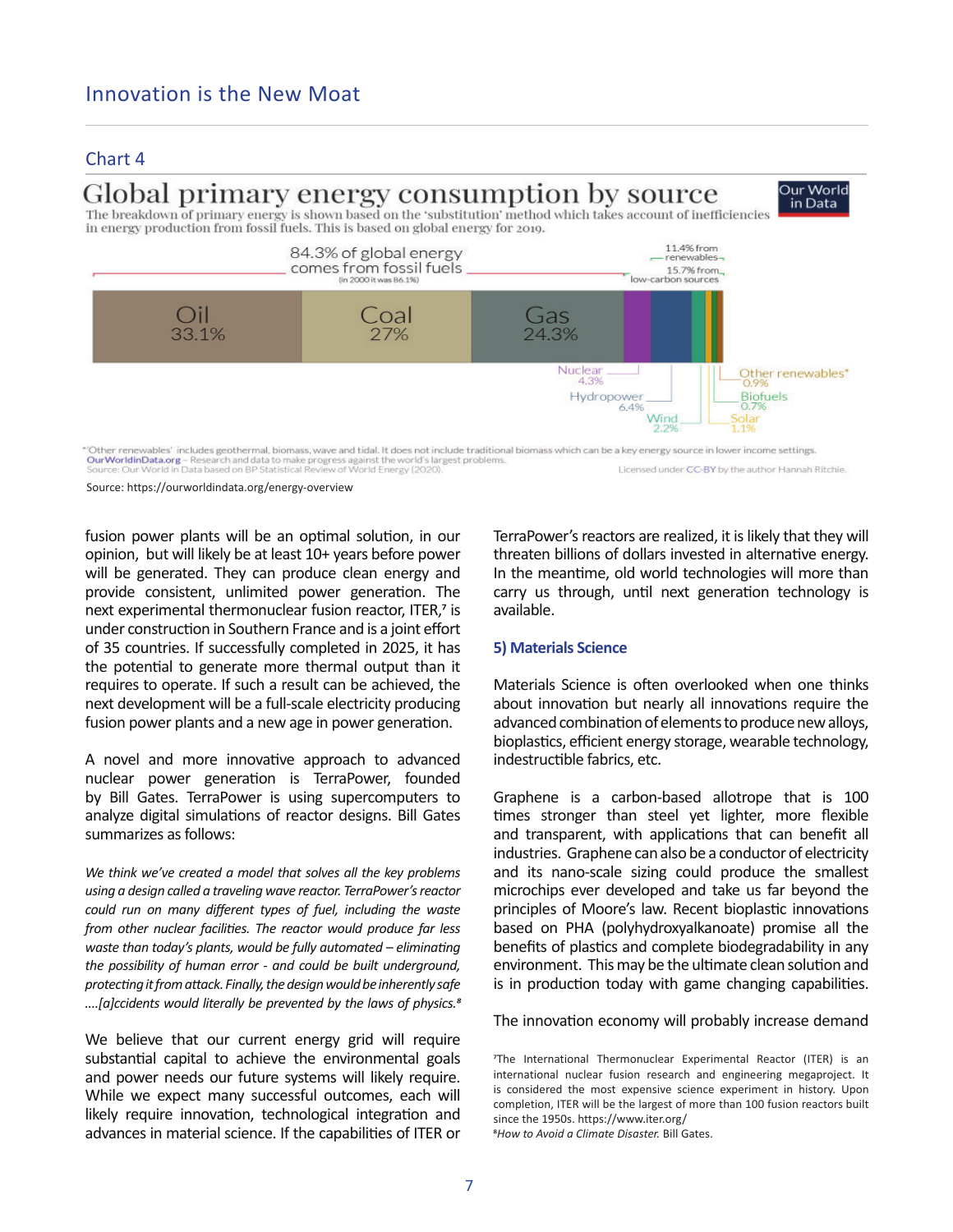### Chart 4

# Global primary energy consumption by source

The breakdown of primary energy is shown based on the 'substitution' method which takes account of inefficiencies in energy production from fossil fuels. This is based on global energy for 2019.



"Other renewables" includes geothermal, biomass, wave and tidal. It does not include traditional biomass which can be a key energy source in lower income settings.<br>**Our World in Data based** on BP Statistical Review of Worl Licensed under CC-BY by the author Hannah Ritchie.

Source: https://ourworldindata.org/energy-overview

fusion power plants will be an optimal solution, in our opinion, but will likely be at least 10+ years before power will be generated. They can produce clean energy and provide consistent, unlimited power generation. The next experimental thermonuclear fusion reactor, ITER,7 is under construction in Southern France and is a joint effort of 35 countries. If successfully completed in 2025, it has the potential to generate more thermal output than it requires to operate. If such a result can be achieved, the next development will be a full-scale electricity producing fusion power plants and a new age in power generation.

A novel and more innovative approach to advanced nuclear power generation is TerraPower, founded by Bill Gates. TerraPower is using supercomputers to analyze digital simulations of reactor designs. Bill Gates summarizes as follows:

*We think we've created a model that solves all the key problems using a design called a traveling wave reactor. TerraPower's reactor could run on many diff erent types of fuel, including the waste from other nuclear facilities. The reactor would produce far less waste than today's plants, would be fully automated – eliminating the possibility of human error - and could be built underground, protecƟ ng it from aƩ ack. Finally, the design would be inherently safe ....[a]ccidents would literally be prevented by the laws of physics.*<sup>8</sup>

We believe that our current energy grid will require substantial capital to achieve the environmental goals and power needs our future systems will likely require. While we expect many successful outcomes, each will likely require innovation, technological integration and advances in material science. If the capabilities of ITER or TerraPower's reactors are realized, it is likely that they will threaten billions of dollars invested in alternative energy. In the meantime, old world technologies will more than carry us through, until next generation technology is available.

Our World

in Data

#### **5) Materials Science**

Materials Science is often overlooked when one thinks about innovation but nearly all innovations require the advanced combination of elements to produce new alloys, bioplastics, efficient energy storage, wearable technology, indestructible fabrics, etc.

Graphene is a carbon-based allotrope that is 100 times stronger than steel yet lighter, more flexible and transparent, with applications that can benefit all industries. Graphene can also be a conductor of electricity and its nano-scale sizing could produce the smallest microchips ever developed and take us far beyond the principles of Moore's law. Recent bioplastic innovations based on PHA (polyhydroxyalkanoate) promise all the benefits of plastics and complete biodegradability in any environment. This may be the ultimate clean solution and is in production today with game changing capabilities.

The innovation economy will probably increase demand

The International Thermonuclear Experimental Reactor (ITER) is an international nuclear fusion research and engineering megaproject. It is considered the most expensive science experiment in history. Upon completion, ITER will be the largest of more than 100 fusion reactors built since the 1950s. https://www.iter.org/

Ц*How to Avoid a Climate Disaster.* Bill Gates.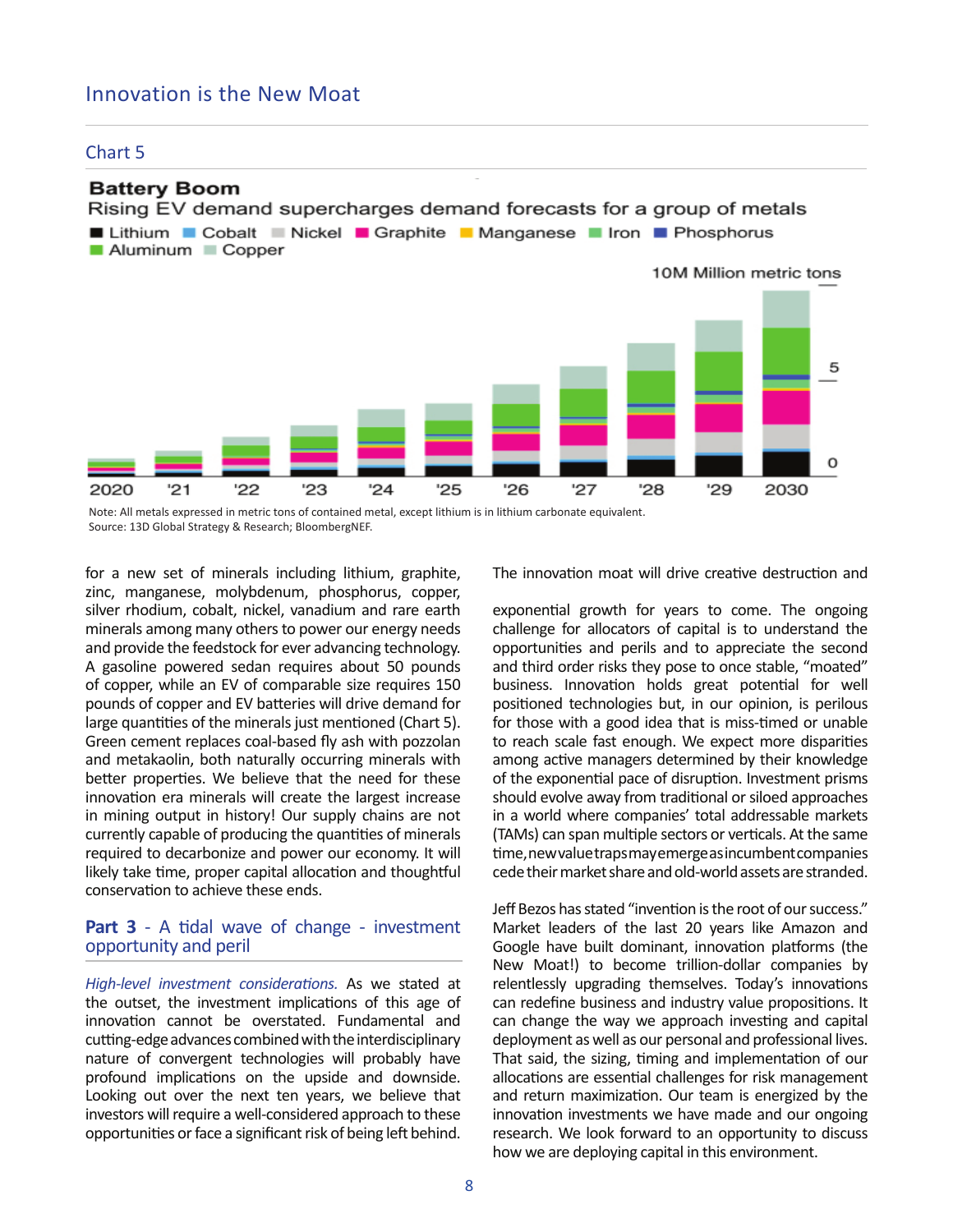# Innovation is the New Moat

#### Chart 5

# **Battery Boom**

Rising EV demand supercharges demand forecasts for a group of metals ■ Lithium ■ Cobalt ■ Nickel ■ Graphite ■ Manganese ■ Iron ■ Phosphorus



Note: All metals expressed in metric tons of contained metal, except lithium is in lithium carbonate equivalent. Source: 13D Global Strategy & Research; BloombergNEF.

for a new set of minerals including lithium, graphite, zinc, manganese, molybdenum, phosphorus, copper, silver rhodium, cobalt, nickel, vanadium and rare earth minerals among many others to power our energy needs and provide the feedstock for ever advancing technology. A gasoline powered sedan requires about 50 pounds of copper, while an EV of comparable size requires 150 pounds of copper and EV batteries will drive demand for large quantities of the minerals just mentioned (Chart 5). Green cement replaces coal-based fly ash with pozzolan and metakaolin, both naturally occurring minerals with better properties. We believe that the need for these innovation era minerals will create the largest increase in mining output in history! Our supply chains are not currently capable of producing the quantities of minerals required to decarbonize and power our economy. It will likely take time, proper capital allocation and thoughtful conservation to achieve these ends.

#### **Part 3** - A tidal wave of change - investment opportunity and peril

*High-level investment considerations.* As we stated at the outset, the investment implications of this age of innovation cannot be overstated. Fundamental and cutting-edge advances combined with the interdisciplinary nature of convergent technologies will probably have profound implications on the upside and downside. Looking out over the next ten years, we believe that investors will require a well-considered approach to these opportunities or face a significant risk of being left behind.

The innovation moat will drive creative destruction and

exponential growth for years to come. The ongoing challenge for allocators of capital is to understand the opportunities and perils and to appreciate the second and third order risks they pose to once stable, "moated" business. Innovation holds great potential for well positioned technologies but, in our opinion, is perilous for those with a good idea that is miss-timed or unable to reach scale fast enough. We expect more disparities among active managers determined by their knowledge of the exponential pace of disruption. Investment prisms should evolve away from traditional or siloed approaches in a world where companies' total addressable markets (TAMs) can span multiple sectors or verticals. At the same time, new value traps may emerge as incumbent companies cede their market share and old-world assets are stranded.

Jeff Bezos has stated "invention is the root of our success." Market leaders of the last 20 years like Amazon and Google have built dominant, innovation platforms (the New Moat!) to become trillion-dollar companies by relentlessly upgrading themselves. Today's innovations can redefine business and industry value propositions. It can change the way we approach investing and capital deployment as well as our personal and professional lives. That said, the sizing, timing and implementation of our allocations are essential challenges for risk management and return maximization. Our team is energized by the innovation investments we have made and our ongoing research. We look forward to an opportunity to discuss how we are deploying capital in this environment.